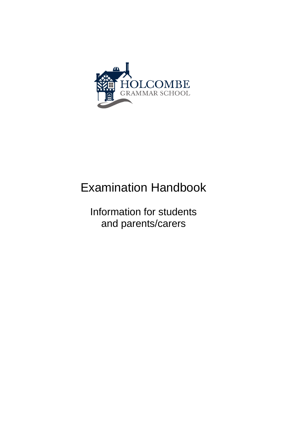

# Examination Handbook

Information for students and parents/carers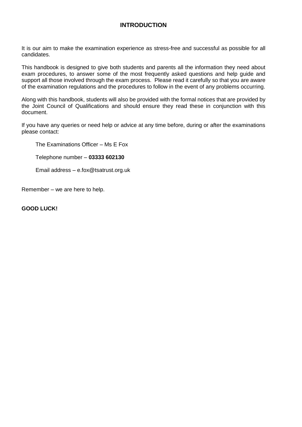## **INTRODUCTION**

It is our aim to make the examination experience as stress-free and successful as possible for all candidates.

This handbook is designed to give both students and parents all the information they need about exam procedures, to answer some of the most frequently asked questions and help guide and support all those involved through the exam process. Please read it carefully so that you are aware of the examination regulations and the procedures to follow in the event of any problems occurring.

Along with this handbook, students will also be provided with the formal notices that are provided by the Joint Council of Qualifications and should ensure they read these in conjunction with this document.

If you have any queries or need help or advice at any time before, during or after the examinations please contact:

The Examinations Officer – Ms E Fox

Telephone number – **03333 602130**

Email address – e.fox@tsatrust.org.uk

Remember – we are here to help.

**GOOD LUCK!**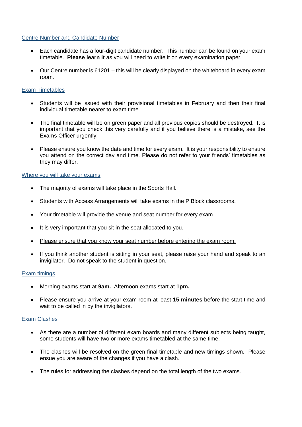#### Centre Number and Candidate Number

- Each candidate has a four-digit candidate number. This number can be found on your exam timetable. **Please learn it** as you will need to write it on every examination paper.
- Our Centre number is 61201 this will be clearly displayed on the whiteboard in every exam room.

#### Exam Timetables

- Students will be issued with their provisional timetables in February and then their final individual timetable nearer to exam time.
- The final timetable will be on green paper and all previous copies should be destroyed. It is important that you check this very carefully and if you believe there is a mistake, see the Exams Officer urgently.
- Please ensure you know the date and time for every exam. It is your responsibility to ensure you attend on the correct day and time. Please do not refer to your friends' timetables as they may differ.

#### Where you will take your exams

- The majority of exams will take place in the Sports Hall.
- Students with Access Arrangements will take exams in the P Block classrooms.
- Your timetable will provide the venue and seat number for every exam.
- It is very important that you sit in the seat allocated to you.
- Please ensure that you know your seat number before entering the exam room.
- If you think another student is sitting in your seat, please raise your hand and speak to an invigilator. Do not speak to the student in question.

#### Exam timings

- Morning exams start at **9am.** Afternoon exams start at **1pm.**
- Please ensure you arrive at your exam room at least **15 minutes** before the start time and wait to be called in by the invigilators.

#### Exam Clashes

- As there are a number of different exam boards and many different subjects being taught, some students will have two or more exams timetabled at the same time.
- The clashes will be resolved on the green final timetable and new timings shown. Please ensue you are aware of the changes if you have a clash.
- The rules for addressing the clashes depend on the total length of the two exams.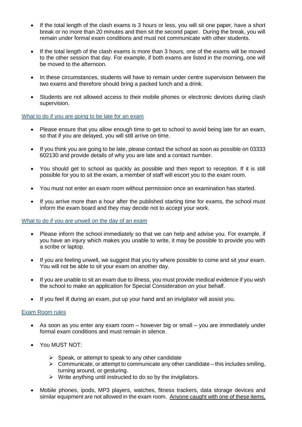- If the total length of the clash exams is 3 hours or less, you will sit one paper, have a short break or no more than 20 minutes and then sit the second paper. During the break, you will remain under formal exam conditions and must not communicate with other students.
- If the total length of the clash exams is more than 3 hours, one of the exams will be moved to the other session that day. For example, if both exams are listed in the morning, one will be moved to the afternoon.
- In these circumstances, students will have to remain under centre supervision between the two exams and therefore should bring a packed lunch and a drink.
- Students are not allowed access to their mobile phones or electronic devices during clash supervision.

#### What to do if you are going to be late for an exam

- Please ensure that you allow enough time to get to school to avoid being late for an exam, so that if you are delayed, you will still arrive on time.
- If you think you are going to be late, please contact the school as soon as possible on 03333 602130 and provide details of why you are late and a contact number.
- You should get to school as quickly as possible and then report to reception. If it is still possible for you to sit the exam, a member of staff will escort you to the exam room.
- You must not enter an exam room without permission once an examination has started.
- If you arrive more than a hour after the published starting time for exams, the school must inform the exam board and they may decide not to accept your work.

#### What to do if you are unwell on the day of an exam

- Please inform the school immediately so that we can help and advise you. For example, if you have an injury which makes you unable to write, it may be possible to provide you with a scribe or laptop.
- If you are feeling unwell, we suggest that you try where possible to come and sit your exam. You will not be able to sit your exam on another day.
- If you are unable to sit an exam due to illness, you must provide medical evidence if you wish the school to make an application for Special Consideration on your behalf.
- If you feel ill during an exam, put up your hand and an invigilator will assist you.

#### Exam Room rules

- As soon as you enter any exam room however big or small you are immediately under formal exam conditions and must remain in silence.
- You MUST NOT:
	- $\triangleright$  Speak, or attempt to speak to any other candidate
	- $\triangleright$  Communicate, or attempt to communicate any other candidate this includes smiling, turning around, or gesturing.
	- $\triangleright$  Write anything until instructed to do so by the invigilators.
- Mobile phones, ipods, MP3 players, watches, fitness trackers, data storage devices and similar equipment are not allowed in the exam room. Anyone caught with one of these items,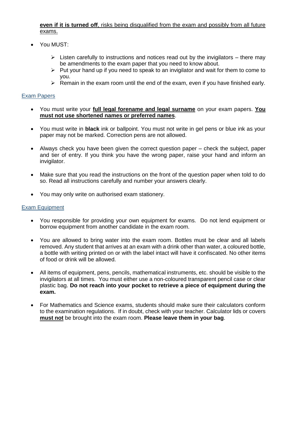#### **even if it is turned off**, risks being disqualified from the exam and possibly from all future exams.

- You MUST:
	- $\triangleright$  Listen carefully to instructions and notices read out by the invigilators there may be amendments to the exam paper that you need to know about.
	- $\triangleright$  Put your hand up if you need to speak to an invigilator and wait for them to come to you.
	- $\triangleright$  Remain in the exam room until the end of the exam, even if you have finished early.

#### Exam Papers

- You must write your **full legal forename and legal surname** on your exam papers. **You must not use shortened names or preferred names**.
- You must write in **black** ink or ballpoint. You must not write in gel pens or blue ink as your paper may not be marked. Correction pens are not allowed.
- Always check you have been given the correct question paper check the subject, paper and tier of entry. If you think you have the wrong paper, raise your hand and inform an invigilator.
- Make sure that you read the instructions on the front of the question paper when told to do so. Read all instructions carefully and number your answers clearly.
- You may only write on authorised exam stationery.

#### Exam Equipment

- You responsible for providing your own equipment for exams. Do not lend equipment or borrow equipment from another candidate in the exam room.
- You are allowed to bring water into the exam room. Bottles must be clear and all labels removed. Any student that arrives at an exam with a drink other than water, a coloured bottle, a bottle with writing printed on or with the label intact will have it confiscated. No other items of food or drink will be allowed.
- All items of equipment, pens, pencils, mathematical instruments, etc. should be visible to the invigilators at all times. You must either use a non-coloured transparent pencil case or clear plastic bag. **Do not reach into your pocket to retrieve a piece of equipment during the exam.**
- For Mathematics and Science exams, students should make sure their calculators conform to the examination regulations. If in doubt, check with your teacher. Calculator lids or covers **must not** be brought into the exam room. **Please leave them in your bag**.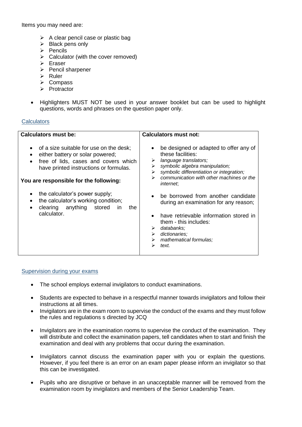Items you may need are:

- $\triangleright$  A clear pencil case or plastic bag
- ➢ Black pens only
- ➢ Pencils
- $\triangleright$  Calculator (with the cover removed)
- ➢ Eraser
- ➢ Pencil sharpener
- ➢ Ruler
- ➢ Compass
- ➢ Protractor
- Highlighters MUST NOT be used in your answer booklet but can be used to highlight questions, words and phrases on the question paper only.

#### **Calculators**

| <b>Calculators must be:</b>                                                                                                                                                                                                                                                                                                               | <b>Calculators must not:</b>                                                                                                                                                                                                                                                                                                                                                                                                                                                               |
|-------------------------------------------------------------------------------------------------------------------------------------------------------------------------------------------------------------------------------------------------------------------------------------------------------------------------------------------|--------------------------------------------------------------------------------------------------------------------------------------------------------------------------------------------------------------------------------------------------------------------------------------------------------------------------------------------------------------------------------------------------------------------------------------------------------------------------------------------|
| of a size suitable for use on the desk;<br>either battery or solar powered;<br>free of lids, cases and covers which<br>have printed instructions or formulas.<br>You are responsible for the following:<br>the calculator's power supply;<br>the calculator's working condition;<br>clearing anything stored<br>the<br>in.<br>calculator. | be designed or adapted to offer any of<br>these facilities:<br>language translators;<br>➤<br>symbolic algebra manipulation;<br>➤<br>symbolic differentiation or integration;<br>➤<br>communication with other machines or the<br>↘<br><i>internet</i> ,<br>be borrowed from another candidate<br>during an examination for any reason;<br>have retrievable information stored in<br>them - this includes:<br>databanks:<br>➤<br>dictionaries;<br>➤<br>mathematical formulas;<br>text.<br>⋗ |

#### Supervision during your exams

- The school employs external invigilators to conduct examinations.
- Students are expected to behave in a respectful manner towards invigilators and follow their instructions at all times.
- Invigilators are in the exam room to supervise the conduct of the exams and they must follow the rules and regulations s directed by JCQ
- Invigilators are in the examination rooms to supervise the conduct of the examination. They will distribute and collect the examination papers, tell candidates when to start and finish the examination and deal with any problems that occur during the examination.
- Invigilators cannot discuss the examination paper with you or explain the questions. However, if you feel there is an error on an exam paper please inform an invigilator so that this can be investigated.
- Pupils who are disruptive or behave in an unacceptable manner will be removed from the examination room by invigilators and members of the Senior Leadership Team.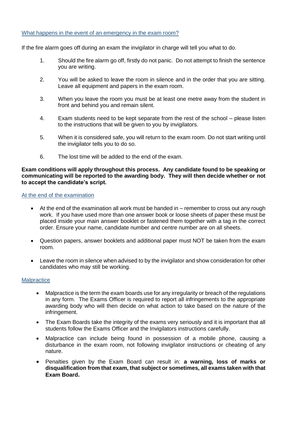#### What happens in the event of an emergency in the exam room?

If the fire alarm goes off during an exam the invigilator in charge will tell you what to do.

- 1. Should the fire alarm go off, firstly do not panic. Do not attempt to finish the sentence you are writing.
- 2. You will be asked to leave the room in silence and in the order that you are sitting. Leave all equipment and papers in the exam room.
- 3. When you leave the room you must be at least one metre away from the student in front and behind you and remain silent.
- 4. Exam students need to be kept separate from the rest of the school please listen to the instructions that will be given to you by invigilators.
- 5. When it is considered safe, you will return to the exam room. Do not start writing until the invigilator tells you to do so.
- 6. The lost time will be added to the end of the exam.

#### **Exam conditions will apply throughout this process. Any candidate found to be speaking or communicating will be reported to the awarding body. They will then decide whether or not to accept the candidate's script.**

#### At the end of the examination

- At the end of the examination all work must be handed in remember to cross out any rough work. If you have used more than one answer book or loose sheets of paper these must be placed inside your main answer booklet or fastened them together with a tag in the correct order. Ensure your name, candidate number and centre number are on all sheets.
- Question papers, answer booklets and additional paper must NOT be taken from the exam room.
- Leave the room in silence when advised to by the invigilator and show consideration for other candidates who may still be working.

#### **Malpractice**

- Malpractice is the term the exam boards use for any irregularity or breach of the regulations in any form. The Exams Officer is required to report all infringements to the appropriate awarding body who will then decide on what action to take based on the nature of the infringement.
- The Exam Boards take the integrity of the exams very seriously and it is important that all students follow the Exams Officer and the Invigilators instructions carefully.
- Malpractice can include being found in possession of a mobile phone, causing a disturbance in the exam room, not following invigilator instructions or cheating of any nature.
- Penalties given by the Exam Board can result in: **a warning, loss of marks or disqualification from that exam, that subject or sometimes, all exams taken with that Exam Board.**